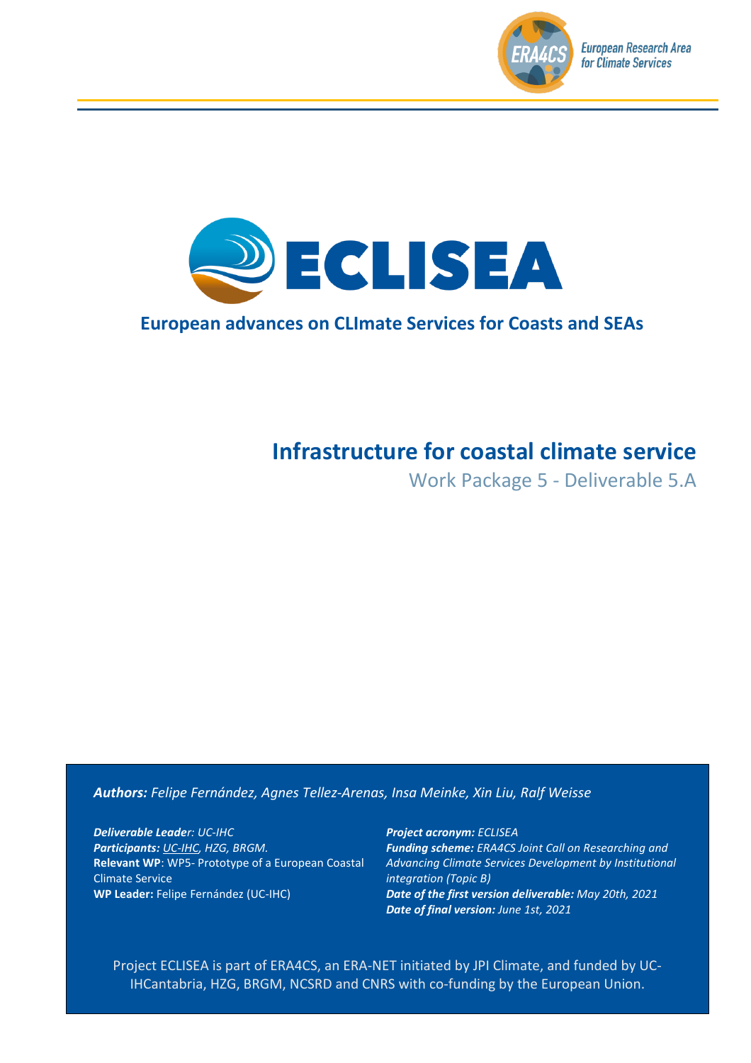



#### **European advances on CLImate Services for Coasts and SEAs**

# **Infrastructure for coastal climate service**

Work Package 5 - Deliverable 5.A

#### *Authors: Felipe Fernández, Agnes Tellez-Arenas, Insa Meinke, Xin Liu, Ralf Weisse*

*Deliverable Leader: UC-IHC Participants: UC-IHC, HZG, BRGM.* **Relevant WP**: WP5- Prototype of a European Coastal Climate Service **WP Leader:** Felipe Fernández (UC-IHC)

*Project acronym: ECLISEA Funding scheme: ERA4CS Joint Call on Researching and Advancing Climate Services Development by Institutional integration (Topic B) Date of the first version deliverable: May 20th, 2021 Date of final version: June 1st, 2021*

Project ECLISEA is part of ERA4CS, an ERA-NET initiated by JPI Climate, and funded by UC-IHCantabria, HZG, BRGM, NCSRD and CNRS with co-funding by the European Union.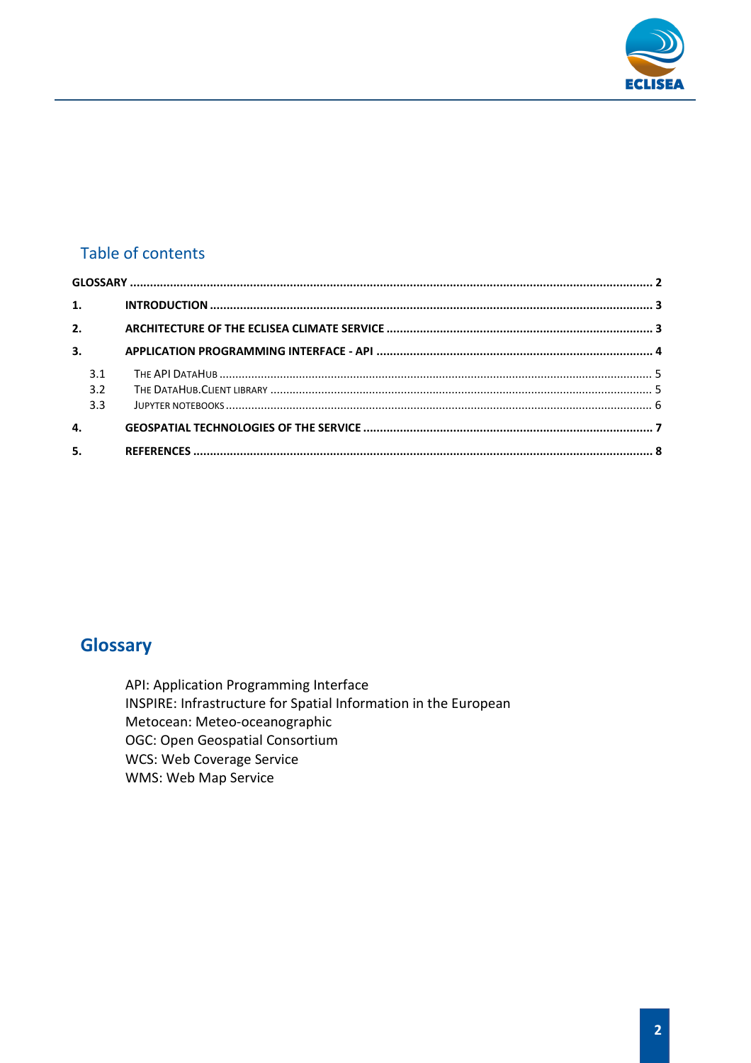

#### Table of contents

| 1.  |  |
|-----|--|
| 2.  |  |
| 3.  |  |
| 3.1 |  |
| 3.2 |  |
| 3.3 |  |
| 4.  |  |
| 5.  |  |

## <span id="page-1-0"></span>**Glossary**

API: Application Programming Interface INSPIRE: Infrastructure for Spatial Information in the European Metocean: Meteo-oceanographic OGC: Open Geospatial Consortium **WCS: Web Coverage Service** WMS: Web Map Service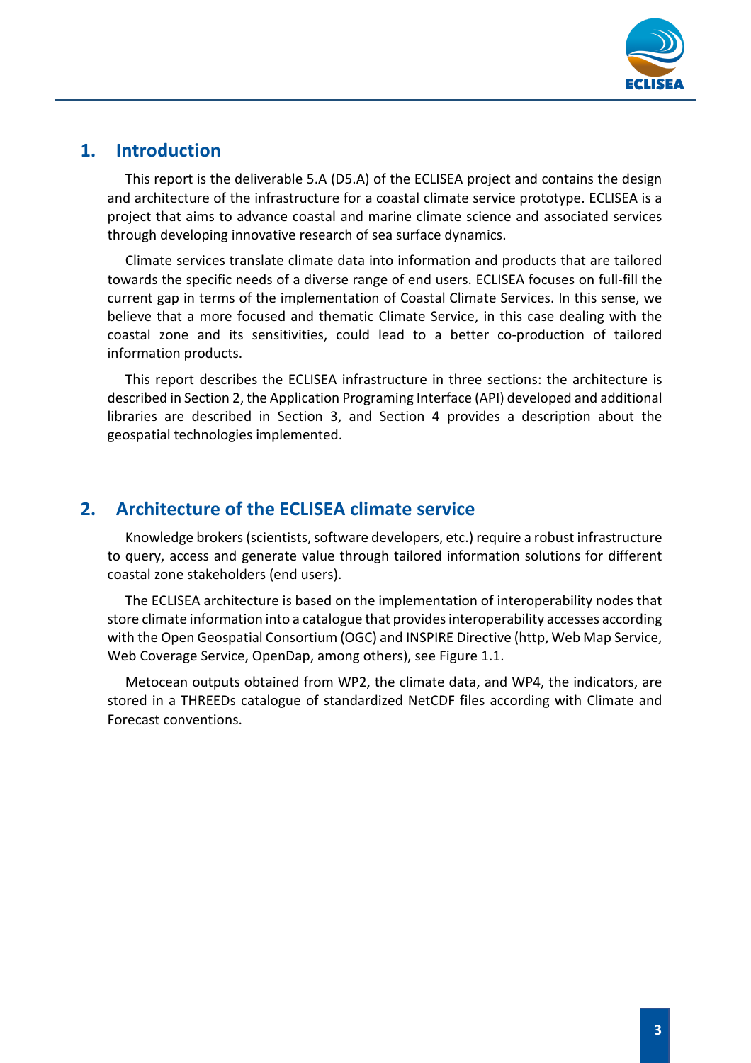

#### <span id="page-2-0"></span>**1. Introduction**

This report is the deliverable 5.A (D5.A) of the ECLISEA project and contains the design and architecture of the infrastructure for a coastal climate service prototype. ECLISEA is a project that aims to advance coastal and marine climate science and associated services through developing innovative research of sea surface dynamics.

Climate services translate climate data into information and products that are tailored towards the specific needs of a diverse range of end users. ECLISEA focuses on full-fill the current gap in terms of the implementation of Coastal Climate Services. In this sense, we believe that a more focused and thematic Climate Service, in this case dealing with the coastal zone and its sensitivities, could lead to a better co-production of tailored information products.

This report describes the ECLISEA infrastructure in three sections: the architecture is described in Section 2, the Application Programing Interface (API) developed and additional libraries are described in Section 3, and Section 4 provides a description about the geospatial technologies implemented.

### <span id="page-2-1"></span>**2. Architecture of the ECLISEA climate service**

Knowledge brokers (scientists, software developers, etc.) require a robust infrastructure to query, access and generate value through tailored information solutions for different coastal zone stakeholders (end users).

The ECLISEA architecture is based on the implementation of interoperability nodes that store climate information into a catalogue that provides interoperability accesses according with the Open Geospatial Consortium (OGC) and INSPIRE Directive (http, Web Map Service, Web Coverage Service, OpenDap, among others), see Figure 1.1.

Metocean outputs obtained from WP2, the climate data, and WP4, the indicators, are stored in a THREEDs catalogue of standardized NetCDF files according with Climate and Forecast conventions.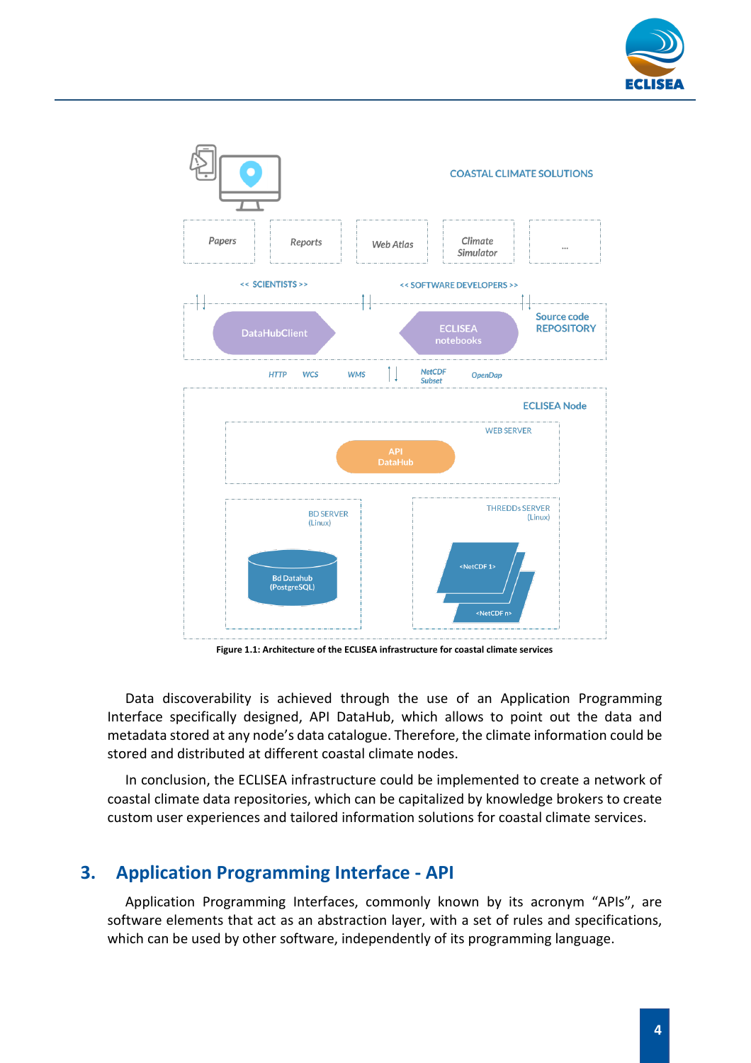



**Figure 1.1: Architecture of the ECLISEA infrastructure for coastal climate services**

Data discoverability is achieved through the use of an Application Programming Interface specifically designed, API DataHub, which allows to point out the data and metadata stored at any node's data catalogue. Therefore, the climate information could be stored and distributed at different coastal climate nodes.

In conclusion, the ECLISEA infrastructure could be implemented to create a network of coastal climate data repositories, which can be capitalized by knowledge brokers to create custom user experiences and tailored information solutions for coastal climate services.

#### <span id="page-3-0"></span>**3. Application Programming Interface - API**

Application Programming Interfaces, commonly known by its acronym "APIs", are software elements that act as an abstraction layer, with a set of rules and specifications, which can be used by other software, independently of its programming language.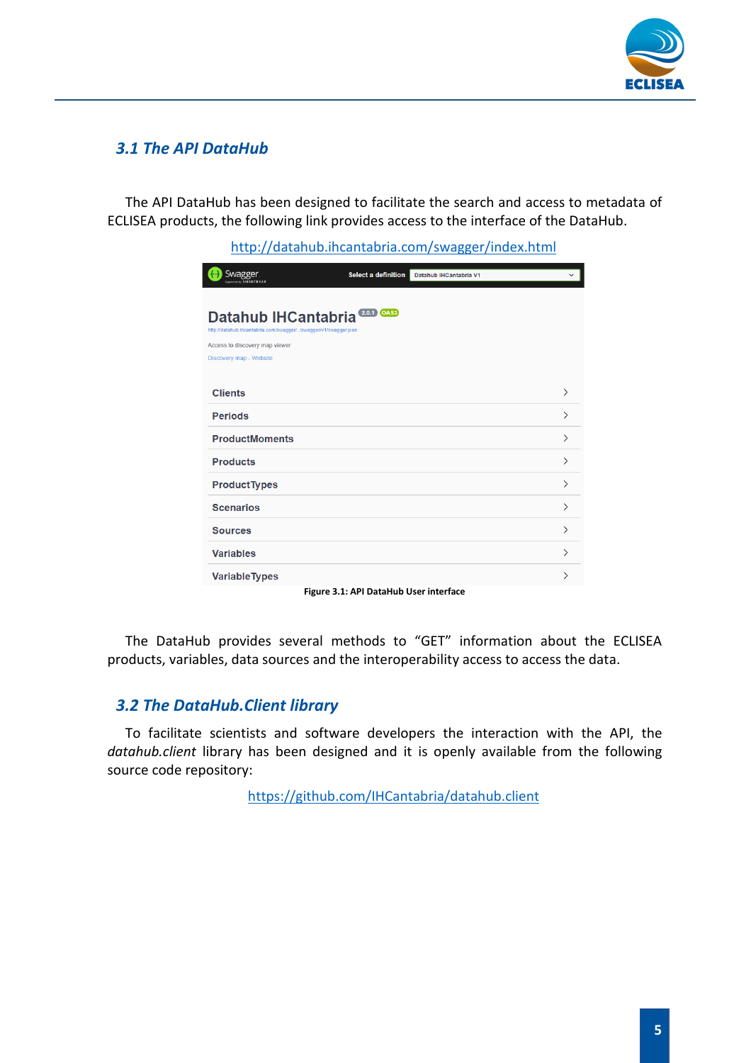

#### <span id="page-4-0"></span>*3.1 The API DataHub*

The API DataHub has been designed to facilitate the search and access to metadata of ECLISEA products, the following link provides access to the interface of the DataHub.

<http://datahub.ihcantabria.com/swagger/index.html>

| .o . <i>,</i>                                                                                                   | ------------<br>.<br>.                 | $\cdots$               | www.          |  |  |  |
|-----------------------------------------------------------------------------------------------------------------|----------------------------------------|------------------------|---------------|--|--|--|
| <b>Swagger</b><br>ted by SMARTBEAR                                                                              | Select a definition                    | Datahub IHCantabria V1 | $\checkmark$  |  |  |  |
| $(2.0.1)$ OAS3<br><b>Datahub IHCantabria</b><br>http://datahub.ihcantabria.com/swagger//swagger/v1/swagger.json |                                        |                        |               |  |  |  |
| Access to discovery map viewer                                                                                  |                                        |                        |               |  |  |  |
| Discovery map - Website                                                                                         |                                        |                        |               |  |  |  |
| <b>Clients</b>                                                                                                  |                                        |                        | $\mathcal{E}$ |  |  |  |
| <b>Periods</b>                                                                                                  |                                        |                        | $\mathcal{E}$ |  |  |  |
| <b>ProductMoments</b>                                                                                           |                                        |                        | ⋋             |  |  |  |
| <b>Products</b>                                                                                                 |                                        |                        | $\mathcal{P}$ |  |  |  |
| <b>ProductTypes</b>                                                                                             |                                        |                        | ⋋             |  |  |  |
| <b>Scenarios</b>                                                                                                |                                        |                        | ⋋             |  |  |  |
| <b>Sources</b>                                                                                                  |                                        |                        | ⋋             |  |  |  |
| <b>Variables</b>                                                                                                |                                        |                        | ⋋             |  |  |  |
| <b>Variable Types</b>                                                                                           |                                        |                        | ⋋             |  |  |  |
|                                                                                                                 | Figure 3.1: API DataHub User interface |                        |               |  |  |  |

The DataHub provides several methods to "GET" information about the ECLISEA products, variables, data sources and the interoperability access to access the data.

#### <span id="page-4-1"></span>*3.2 The DataHub.Client library*

To facilitate scientists and software developers the interaction with the API, the *datahub.client* library has been designed and it is openly available from the following source code repository:

<https://github.com/IHCantabria/datahub.client>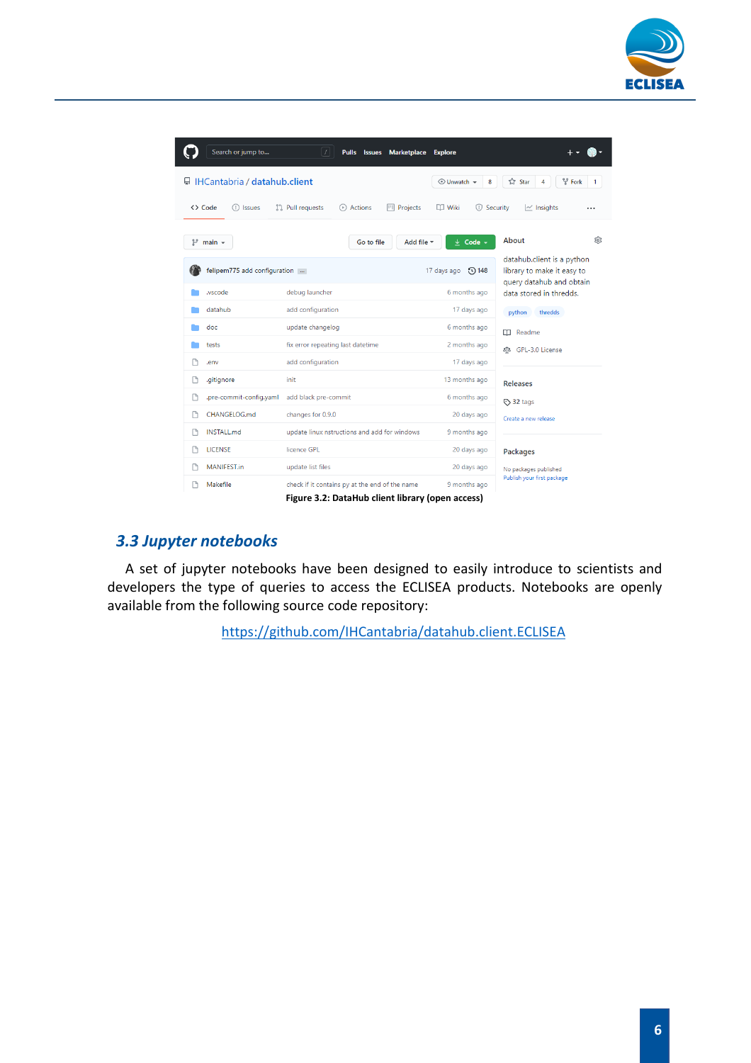

|                                                                                                                                                           | Search or jump to                                                                                  | ΙZΙ<br><b>Pulls</b><br><b>Issues</b><br><b>Marketplace</b>                                                                                                                                                                                                                      | <b>Explore</b>                            |                                                                                      |  |  |  |  |
|-----------------------------------------------------------------------------------------------------------------------------------------------------------|----------------------------------------------------------------------------------------------------|---------------------------------------------------------------------------------------------------------------------------------------------------------------------------------------------------------------------------------------------------------------------------------|-------------------------------------------|--------------------------------------------------------------------------------------|--|--|--|--|
|                                                                                                                                                           | □ IHCantabria / datahub.client<br>앟 Fork<br><b>☆ Star</b><br>$\odot$ Unwatch $\sim$<br>8<br>4<br>1 |                                                                                                                                                                                                                                                                                 |                                           |                                                                                      |  |  |  |  |
| <> Code<br><b>I'l</b> Pull requests<br><sup>[11]</sup> Projects<br>(b) Actions<br>$\Box$ Wiki<br>Security<br>$\sim$ Insights<br>(!) Issues<br>$\Box$<br>. |                                                                                                    |                                                                                                                                                                                                                                                                                 |                                           |                                                                                      |  |  |  |  |
| مع                                                                                                                                                        | $main -$                                                                                           | Go to file                                                                                                                                                                                                                                                                      | Add file -<br>$\downarrow$<br>Code $\sim$ | About<br>ලි                                                                          |  |  |  |  |
|                                                                                                                                                           | felipem775 add configuration                                                                       |                                                                                                                                                                                                                                                                                 | 17 days ago<br><b>148</b>                 | datahub.client is a python<br>library to make it easy to<br>query datahub and obtain |  |  |  |  |
|                                                                                                                                                           | wscode.                                                                                            | debug launcher                                                                                                                                                                                                                                                                  | 6 months ago                              | data stored in thredds.                                                              |  |  |  |  |
|                                                                                                                                                           | datahub                                                                                            | add configuration                                                                                                                                                                                                                                                               | 17 days ago                               | python<br>thredds                                                                    |  |  |  |  |
|                                                                                                                                                           | doc                                                                                                | update changelog                                                                                                                                                                                                                                                                | 6 months ago                              | <b>CCI</b> Readme                                                                    |  |  |  |  |
|                                                                                                                                                           | tests                                                                                              | fix error repeating last datetime                                                                                                                                                                                                                                               | 2 months ago                              | 83 GPL-3.0 License                                                                   |  |  |  |  |
|                                                                                                                                                           | .env                                                                                               | add configuration                                                                                                                                                                                                                                                               | 17 days ago                               |                                                                                      |  |  |  |  |
| n                                                                                                                                                         | .gitignore                                                                                         | init                                                                                                                                                                                                                                                                            | 13 months ago                             | <b>Releases</b>                                                                      |  |  |  |  |
|                                                                                                                                                           | .pre-commit-config.yaml                                                                            | add black pre-commit                                                                                                                                                                                                                                                            | 6 months ago                              | ◯ 32 tags                                                                            |  |  |  |  |
|                                                                                                                                                           | CHANGELOG.md                                                                                       | changes for 0.9.0                                                                                                                                                                                                                                                               | 20 days ago                               | Create a new release                                                                 |  |  |  |  |
|                                                                                                                                                           | <b>INSTALL.md</b>                                                                                  | update linux nstructions and add for windows                                                                                                                                                                                                                                    | 9 months ago                              |                                                                                      |  |  |  |  |
|                                                                                                                                                           | <b>LICENSE</b>                                                                                     | licence GPL                                                                                                                                                                                                                                                                     | 20 days ago                               | <b>Packages</b>                                                                      |  |  |  |  |
|                                                                                                                                                           | MANIFEST.in                                                                                        | update list files                                                                                                                                                                                                                                                               | 20 days ago                               | No packages published                                                                |  |  |  |  |
| ۱۹                                                                                                                                                        | Makefile                                                                                           | check if it contains py at the end of the name<br>et a complete the control of the control of the complete of the control of the control of the control of the control of the control of the control of the control of the control of the control of the control of the control | 9 months ago                              | Publish your first package                                                           |  |  |  |  |

**Figure 3.2: DataHub client library (open access)**

#### <span id="page-5-0"></span>*3.3 Jupyter notebooks*

A set of jupyter notebooks have been designed to easily introduce to scientists and developers the type of queries to access the ECLISEA products. Notebooks are openly available from the following source code repository:

<https://github.com/IHCantabria/datahub.client.ECLISEA>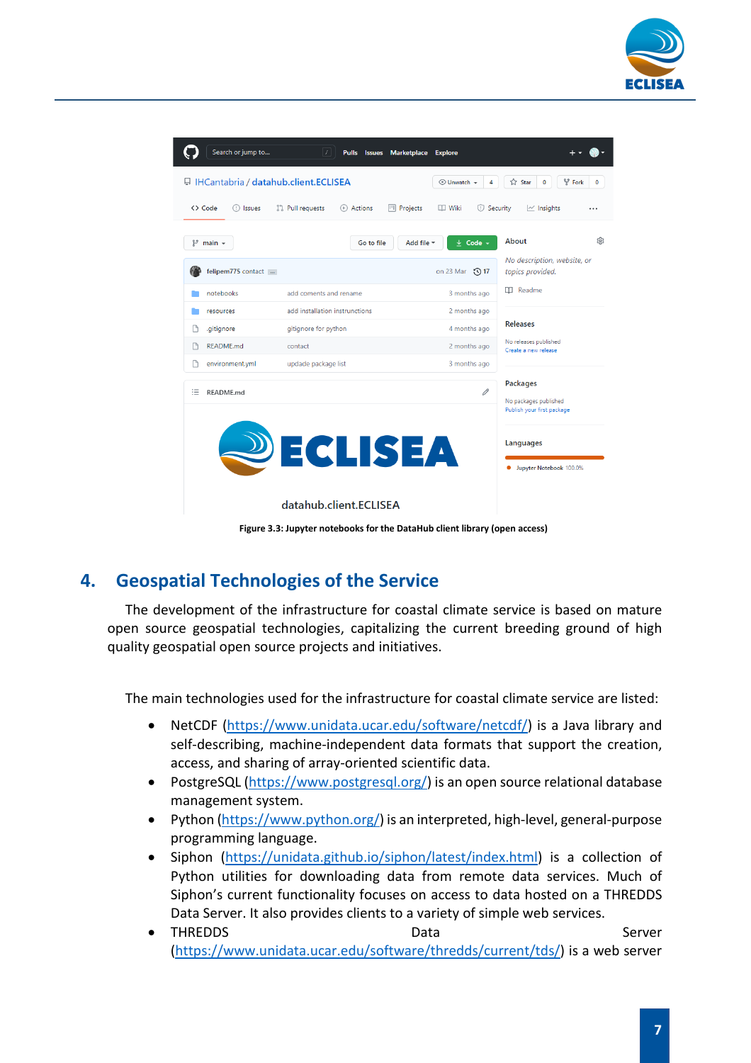

| Search or jump to                                                                                                                                  | $\lceil$ / $\rceil$<br>Pulls Issues<br><b>Marketplace</b> | <b>Explore</b>                               |                                                                        |  |  |  |  |  |
|----------------------------------------------------------------------------------------------------------------------------------------------------|-----------------------------------------------------------|----------------------------------------------|------------------------------------------------------------------------|--|--|--|--|--|
| <b>日 IHCantabria / datahub.client.ECLISEA</b><br><b>오</b> Fork<br><b>☆ Star</b><br>$\odot$ Unwatch $\star$<br>4<br>0<br>$\bf{0}$                   |                                                           |                                              |                                                                        |  |  |  |  |  |
| <> Code<br><sup>្រ</sup> ៀ Pull requests<br>(F) Actions<br><b>四</b> Projects<br>$\Box$ Wiki<br>Security<br>$\sim$ Insights<br>(!) Issues<br>$\Box$ |                                                           |                                              |                                                                        |  |  |  |  |  |
| ٩<br>$main -$                                                                                                                                      | Go to file                                                | Add file =<br>$\downarrow$ Code $\downarrow$ | About<br>හි<br>No description, website, or                             |  |  |  |  |  |
| felipem775 contact                                                                                                                                 |                                                           | on 23 Mar 17                                 | topics provided.                                                       |  |  |  |  |  |
| notebooks                                                                                                                                          | add coments and rename.                                   | 3 months ago                                 | Readme<br>m                                                            |  |  |  |  |  |
| resources                                                                                                                                          | add installation instrunctions                            | 2 months ago                                 | <b>Releases</b><br>No releases published<br>Create a new release       |  |  |  |  |  |
| .gitignore<br>Г۹                                                                                                                                   | gitignore for python                                      | 4 months ago                                 |                                                                        |  |  |  |  |  |
| <b>README.md</b>                                                                                                                                   | contact                                                   | 2 months ago                                 |                                                                        |  |  |  |  |  |
| environment.yml                                                                                                                                    | updade package list                                       | 3 months ago                                 |                                                                        |  |  |  |  |  |
| 注<br>README.md                                                                                                                                     |                                                           | 0                                            | <b>Packages</b><br>No packages published<br>Publish your first package |  |  |  |  |  |
| ECLISEA                                                                                                                                            | Languages<br>Jupyter Notebook 100.0%                      |                                              |                                                                        |  |  |  |  |  |
|                                                                                                                                                    | datahub.client.ECLISEA                                    |                                              |                                                                        |  |  |  |  |  |

**Figure 3.3: Jupyter notebooks for the DataHub client library (open access)**

### <span id="page-6-0"></span>**4. Geospatial Technologies of the Service**

The development of the infrastructure for coastal climate service is based on mature open source geospatial technologies, capitalizing the current breeding ground of high quality geospatial open source projects and initiatives.

The main technologies used for the infrastructure for coastal climate service are listed:

- NetCDF [\(https://www.unidata.ucar.edu/software/netcdf/\)](https://www.unidata.ucar.edu/software/netcdf/) is a Java library and self-describing, machine-independent data formats that support the creation, access, and sharing of array-oriented scientific data.
- PostgreSQL [\(https://www.postgresql.org/\)](https://www.postgresql.org/) is an open source relational database management system.
- Python [\(https://www.python.org/\)](https://www.python.org/) is an interpreted, high-level, general-purpose programming language.
- Siphon [\(https://unidata.github.io/siphon/latest/index.html\)](https://unidata.github.io/siphon/latest/index.html) is a collection of Python utilities for downloading data from remote data services. Much of Siphon's current functionality focuses on access to data hosted on a THREDDS Data Server. It also provides clients to a variety of simple web services.
- THREDDS Data Data Server [\(https://www.unidata.ucar.edu/software/thredds/current/tds/\)](https://www.unidata.ucar.edu/software/thredds/current/tds/) is a web server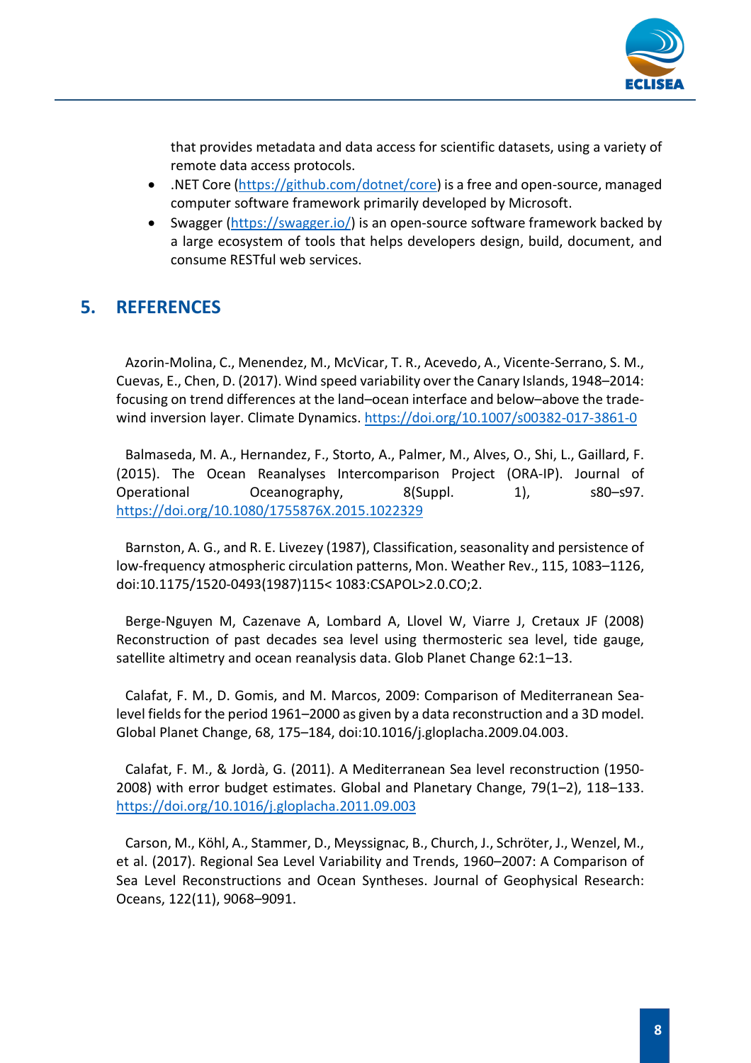

that provides metadata and data access for scientific datasets, using a variety of remote data access protocols.

- .NET Core [\(https://github.com/dotnet/core\)](https://github.com/dotnet/core) is a free and open-source, managed computer software framework primarily developed by Microsoft.
- Swagger [\(https://swagger.io/\)](https://swagger.io/) is an open-source software framework backed by a large ecosystem of tools that helps developers design, build, document, and consume RESTful web services.

### <span id="page-7-0"></span>**5. REFERENCES**

Azorin-Molina, C., Menendez, M., McVicar, T. R., Acevedo, A., Vicente-Serrano, S. M., Cuevas, E., Chen, D. (2017). Wind speed variability over the Canary Islands, 1948–2014: focusing on trend differences at the land–ocean interface and below–above the tradewind inversion layer. Climate Dynamics[. https://doi.org/10.1007/s00382-017-3861-0](https://doi.org/10.1007/s00382-017-3861-0)

Balmaseda, M. A., Hernandez, F., Storto, A., Palmer, M., Alves, O., Shi, L., Gaillard, F. (2015). The Ocean Reanalyses Intercomparison Project (ORA-IP). Journal of Operational Oceanography, 8(Suppl. 1), s80–s97. <https://doi.org/10.1080/1755876X.2015.1022329>

Barnston, A. G., and R. E. Livezey (1987), Classification, seasonality and persistence of low-frequency atmospheric circulation patterns, Mon. Weather Rev., 115, 1083–1126, doi:10.1175/1520-0493(1987)115< 1083:CSAPOL>2.0.CO;2.

Berge-Nguyen M, Cazenave A, Lombard A, Llovel W, Viarre J, Cretaux JF (2008) Reconstruction of past decades sea level using thermosteric sea level, tide gauge, satellite altimetry and ocean reanalysis data. Glob Planet Change 62:1–13.

Calafat, F. M., D. Gomis, and M. Marcos, 2009: Comparison of Mediterranean Sealevel fields for the period 1961–2000 as given by a data reconstruction and a 3D model. Global Planet Change, 68, 175–184, doi:10.1016/j.gloplacha.2009.04.003.

Calafat, F. M., & Jordà, G. (2011). A Mediterranean Sea level reconstruction (1950- 2008) with error budget estimates. Global and Planetary Change, 79(1–2), 118–133. <https://doi.org/10.1016/j.gloplacha.2011.09.003>

Carson, M., Köhl, A., Stammer, D., Meyssignac, B., Church, J., Schröter, J., Wenzel, M., et al. (2017). Regional Sea Level Variability and Trends, 1960–2007: A Comparison of Sea Level Reconstructions and Ocean Syntheses. Journal of Geophysical Research: Oceans, 122(11), 9068–9091.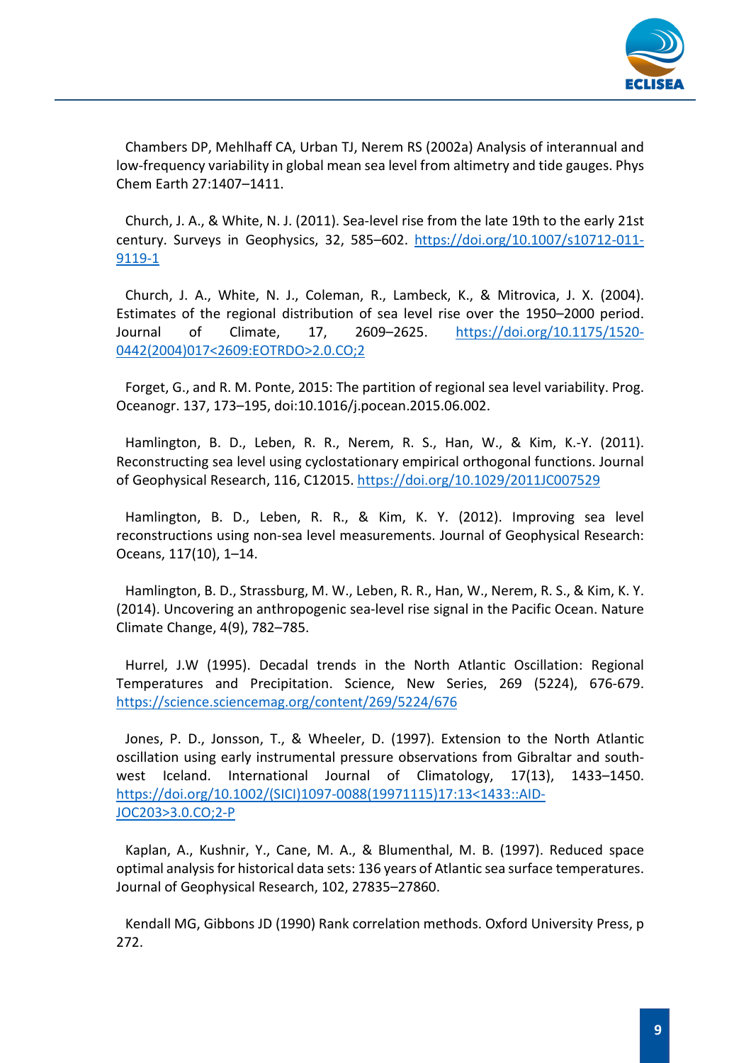

Chambers DP, Mehlhaff CA, Urban TJ, Nerem RS (2002a) Analysis of interannual and low-frequency variability in global mean sea level from altimetry and tide gauges. Phys Chem Earth 27:1407–1411.

Church, J. A., & White, N. J. (2011). Sea-level rise from the late 19th to the early 21st century. Surveys in Geophysics, 32, 585–602. [https://doi.org/10.1007/s10712-011-](https://doi.org/10.1007/s10712-011-9119-1) [9119-1](https://doi.org/10.1007/s10712-011-9119-1)

Church, J. A., White, N. J., Coleman, R., Lambeck, K., & Mitrovica, J. X. (2004). Estimates of the regional distribution of sea level rise over the 1950–2000 period. Journal of Climate, 17, 2609–2625. [https://doi.org/10.1175/1520-](https://doi.org/10.1175/1520-0442(2004)017%3c2609:EOTRDO%3e2.0.CO;2) [0442\(2004\)017<2609:EOTRDO>2.0.CO;2](https://doi.org/10.1175/1520-0442(2004)017%3c2609:EOTRDO%3e2.0.CO;2)

Forget, G., and R. M. Ponte, 2015: The partition of regional sea level variability. Prog. Oceanogr. 137, 173–195, doi:10.1016/j.pocean.2015.06.002.

Hamlington, B. D., Leben, R. R., Nerem, R. S., Han, W., & Kim, K.-Y. (2011). Reconstructing sea level using cyclostationary empirical orthogonal functions. Journal of Geophysical Research, 116, C12015. https://doi.org/10.1029/2011JC007529

Hamlington, B. D., Leben, R. R., & Kim, K. Y. (2012). Improving sea level reconstructions using non-sea level measurements. Journal of Geophysical Research: Oceans, 117(10), 1–14.

Hamlington, B. D., Strassburg, M. W., Leben, R. R., Han, W., Nerem, R. S., & Kim, K. Y. (2014). Uncovering an anthropogenic sea-level rise signal in the Pacific Ocean. Nature Climate Change, 4(9), 782–785.

Hurrel, J.W (1995). Decadal trends in the North Atlantic Oscillation: Regional Temperatures and Precipitation. Science, New Series, 269 (5224), 676-679. <https://science.sciencemag.org/content/269/5224/676>

Jones, P. D., Jonsson, T., & Wheeler, D. (1997). Extension to the North Atlantic oscillation using early instrumental pressure observations from Gibraltar and southwest Iceland. International Journal of Climatology, 17(13), 1433–1450. [https://doi.org/10.1002/\(SICI\)1097-0088\(19971115\)17:13<1433::AID-](https://doi.org/10.1002/(SICI)1097-0088(19971115)17:13%3c1433::AID-JOC203%3e3.0.CO;2-P)[JOC203>3.0.CO;2-P](https://doi.org/10.1002/(SICI)1097-0088(19971115)17:13%3c1433::AID-JOC203%3e3.0.CO;2-P)

Kaplan, A., Kushnir, Y., Cane, M. A., & Blumenthal, M. B. (1997). Reduced space optimal analysis for historical data sets: 136 years of Atlantic sea surface temperatures. Journal of Geophysical Research, 102, 27835–27860.

Kendall MG, Gibbons JD (1990) Rank correlation methods. Oxford University Press, p 272.